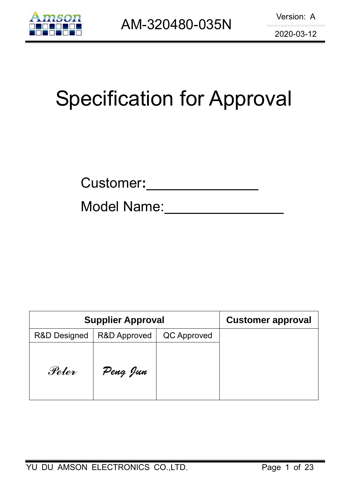

# Specification for Approval

| <b>Customer:</b> |  |
|------------------|--|
|                  |  |

Model Name:

| <b>Supplier Approval</b> | <b>Customer approval</b> |             |  |
|--------------------------|--------------------------|-------------|--|
| <b>R&amp;D Designed</b>  | <b>R&amp;D Approved</b>  | QC Approved |  |
| Peter                    | Peng Jun                 |             |  |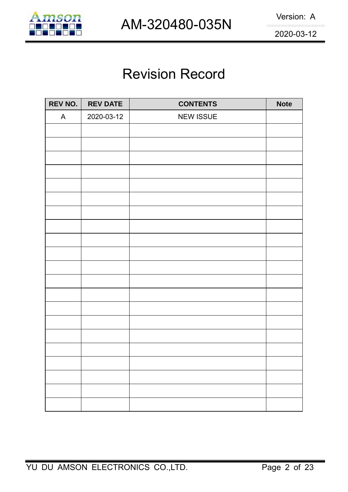

# Revision Record

| <b>REV NO.</b> | <b>REV DATE</b> | <b>CONTENTS</b>  | <b>Note</b> |
|----------------|-----------------|------------------|-------------|
| A              | 2020-03-12      | <b>NEW ISSUE</b> |             |
|                |                 |                  |             |
|                |                 |                  |             |
|                |                 |                  |             |
|                |                 |                  |             |
|                |                 |                  |             |
|                |                 |                  |             |
|                |                 |                  |             |
|                |                 |                  |             |
|                |                 |                  |             |
|                |                 |                  |             |
|                |                 |                  |             |
|                |                 |                  |             |
|                |                 |                  |             |
|                |                 |                  |             |
|                |                 |                  |             |
|                |                 |                  |             |
|                |                 |                  |             |
|                |                 |                  |             |
|                |                 |                  |             |
|                |                 |                  |             |
|                |                 |                  |             |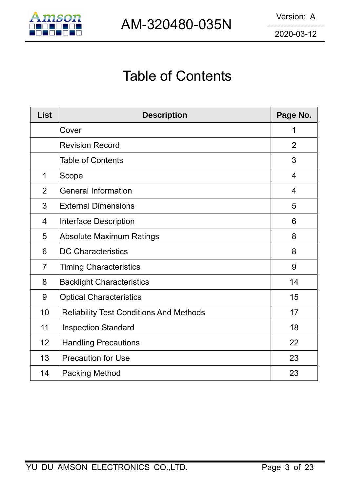

# Table of Contents

| <b>List</b>    | <b>Description</b>                             | Page No.       |
|----------------|------------------------------------------------|----------------|
|                | Cover                                          | 1              |
|                | <b>Revision Record</b>                         | $\overline{2}$ |
|                | <b>Table of Contents</b>                       | 3              |
| 1              | Scope                                          | $\overline{4}$ |
| $\overline{2}$ | <b>General Information</b>                     | 4              |
| 3              | <b>External Dimensions</b>                     | 5              |
| 4              | Interface Description                          | 6              |
| 5              | <b>Absolute Maximum Ratings</b>                | 8              |
| 6              | <b>DC Characteristics</b>                      | 8              |
| $\overline{7}$ | <b>Timing Characteristics</b>                  | 9              |
| 8              | <b>Backlight Characteristics</b>               | 14             |
| 9              | <b>Optical Characteristics</b>                 | 15             |
| 10             | <b>Reliability Test Conditions And Methods</b> | 17             |
| 11             | <b>Inspection Standard</b>                     | 18             |
| 12             | <b>Handling Precautions</b>                    | 22             |
| 13             | <b>Precaution for Use</b>                      | 23             |
| 14             | <b>Packing Method</b>                          | 23             |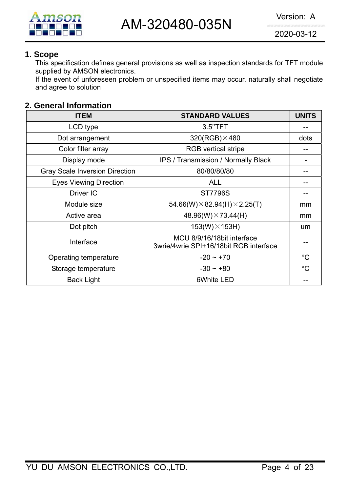#### **1. Scope**

This specification defines general provisions as well as inspection standards for TFT module supplied by AMSON electronics.

If the event of unforeseen problem or unspecified items may occur, naturally shall negotiate and agree to solution

# **2. General Information**

| <b>ITEM</b>                           | <b>STANDARD VALUES</b>                                               | <b>UNITS</b> |
|---------------------------------------|----------------------------------------------------------------------|--------------|
| LCD type                              | 3.5"TFT                                                              |              |
| Dot arrangement                       | $320(RGB)\times 480$                                                 | dots         |
| Color filter array                    | <b>RGB</b> vertical stripe                                           |              |
| Display mode                          | <b>IPS / Transmission / Normally Black</b>                           |              |
| <b>Gray Scale Inversion Direction</b> | 80/80/80/80                                                          |              |
| <b>Eyes Viewing Direction</b>         | <b>ALL</b>                                                           |              |
| Driver IC                             | <b>ST7796S</b>                                                       |              |
| Module size                           | 54.66(W) $\times$ 82.94(H) $\times$ 2.25(T)                          | mm           |
| Active area                           | 48.96(W) $\times$ 73.44(H)                                           | mm           |
| Dot pitch                             | $153(W) \times 153H$                                                 | um           |
| Interface                             | MCU 8/9/16/18bit interface<br>3wrie/4wrie SPI+16/18bit RGB interface |              |
| Operating temperature                 | $-20 \sim +70$                                                       | $^{\circ}C$  |
| Storage temperature                   | $-30 \sim +80$                                                       | $^{\circ}C$  |
| <b>Back Light</b>                     | 6White LED                                                           |              |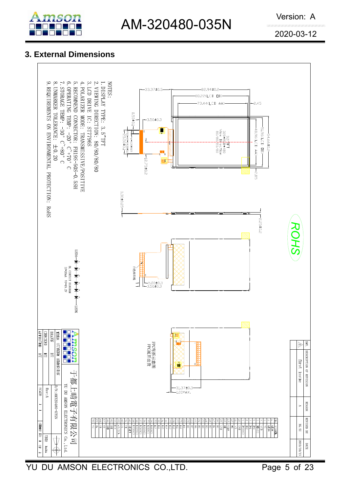# AM-320480-035N Version: A

2020-03-12

# **3. External Dimensions**



YU DU AMSON ELECTRONICS CO.,LTD. Page 5 of 23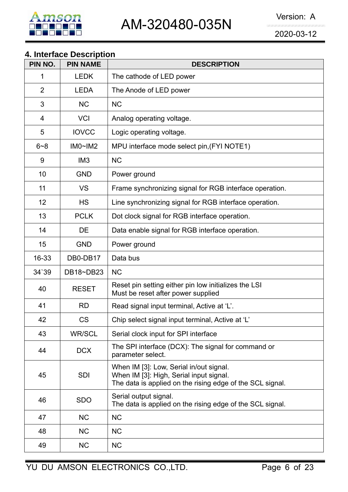# **4. Interface Description**

| PIN NO.        | <b>PIN NAME</b> | <b>DESCRIPTION</b>                                                                                                                              |
|----------------|-----------------|-------------------------------------------------------------------------------------------------------------------------------------------------|
| 1              | <b>LEDK</b>     | The cathode of LED power                                                                                                                        |
| $\overline{2}$ | <b>LEDA</b>     | The Anode of LED power                                                                                                                          |
| 3              | <b>NC</b>       | <b>NC</b>                                                                                                                                       |
| 4              | <b>VCI</b>      | Analog operating voltage.                                                                                                                       |
| 5              | <b>IOVCC</b>    | Logic operating voltage.                                                                                                                        |
| $6 - 8$        | IMO~IM2         | MPU interface mode select pin, (FYI NOTE1)                                                                                                      |
| 9              | IM <sub>3</sub> | <b>NC</b>                                                                                                                                       |
| 10             | <b>GND</b>      | Power ground                                                                                                                                    |
| 11             | <b>VS</b>       | Frame synchronizing signal for RGB interface operation.                                                                                         |
| 12             | <b>HS</b>       | Line synchronizing signal for RGB interface operation.                                                                                          |
| 13             | <b>PCLK</b>     | Dot clock signal for RGB interface operation.                                                                                                   |
| 14             | DE              | Data enable signal for RGB interface operation.                                                                                                 |
| 15             | <b>GND</b>      | Power ground                                                                                                                                    |
| 16-33          | DB0-DB17        | Data bus                                                                                                                                        |
| 34`39          | DB18~DB23       | <b>NC</b>                                                                                                                                       |
| 40             | <b>RESET</b>    | Reset pin setting either pin low initializes the LSI<br>Must be reset after power supplied                                                      |
| 41             | <b>RD</b>       | Read signal input terminal, Active at 'L'.                                                                                                      |
| 42             | <b>CS</b>       | Chip select signal input terminal, Active at 'L'                                                                                                |
| 43             | <b>WR/SCL</b>   | Serial clock input for SPI interface                                                                                                            |
| 44             | <b>DCX</b>      | The SPI interface (DCX): The signal for command or<br>parameter select.                                                                         |
| 45             | <b>SDI</b>      | When IM [3]: Low, Serial in/out signal.<br>When IM [3]: High, Serial input signal.<br>The data is applied on the rising edge of the SCL signal. |
| 46             | <b>SDO</b>      | Serial output signal.<br>The data is applied on the rising edge of the SCL signal.                                                              |
| 47             | <b>NC</b>       | <b>NC</b>                                                                                                                                       |
| 48             | <b>NC</b>       | <b>NC</b>                                                                                                                                       |
| 49             | <b>NC</b>       | <b>NC</b>                                                                                                                                       |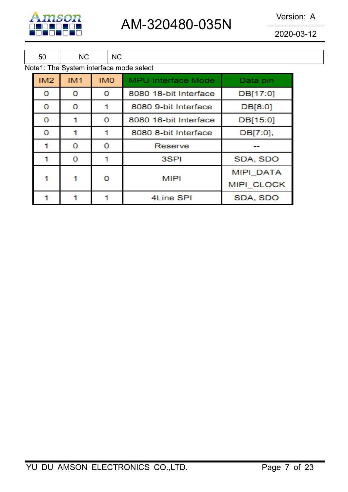

AM-320480-035N Version: A

| 50  | <b>NC</b>  |            | <b>NC</b> |                                         |                  |
|-----|------------|------------|-----------|-----------------------------------------|------------------|
|     |            |            |           | Note1: The System interface mode select |                  |
| IM2 | <b>IM1</b> | <b>IMO</b> |           | <b>MPU Interface Mode</b>               | Data pin         |
| о   | o          | 0          |           | 8080 18-bit Interface                   | DB[17:0]         |
| o   | o          |            |           | 8080 9-bit Interface                    | DB[8:0]          |
| 0   |            | 0          |           | 8080 16-bit Interface                   | DB[15:0]         |
| 0   |            |            |           | 8080 8-bit Interface                    | DB[7:0],         |
|     | 0          | 0          |           | Reserve                                 |                  |
|     | 0          | 1          |           | 3SPI                                    | SDA, SDO         |
|     |            |            |           | <b>MIPI</b>                             | <b>MIPI DATA</b> |
|     |            | 0          |           |                                         | MIPI CLOCK       |
|     |            |            |           | 4Line SPI                               | SDA, SDO         |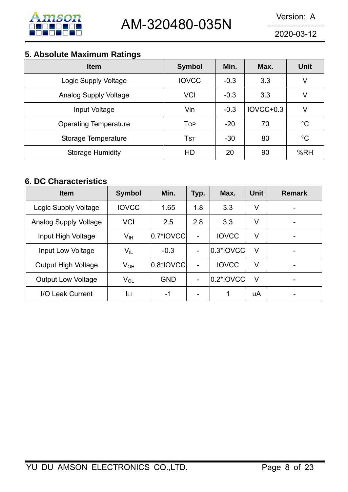

# **5. Absolute Maximum Ratings**

| --<br><b>Item</b>            | <b>Symbol</b>          | Min.   | Max.      | <b>Unit</b> |
|------------------------------|------------------------|--------|-----------|-------------|
| Logic Supply Voltage         | <b>IOVCC</b>           | $-0.3$ | 3.3       | V           |
| <b>Analog Supply Voltage</b> | <b>VCI</b>             | $-0.3$ | 3.3       | V           |
| Input Voltage                | Vin                    | $-0.3$ | IOVCC+0.3 | V           |
| <b>Operating Temperature</b> | <b>TOP</b>             | $-20$  | 70        | $^{\circ}C$ |
| Storage Temperature          | <b>T</b> <sub>ST</sub> | $-30$  | 80        | $^{\circ}C$ |
| <b>Storage Humidity</b>      | <b>HD</b>              | 20     | 90        | %RH         |

# **6. DC Characteristics**

| <b>Item</b>                  | <b>Symbol</b>              | Min.       | Typ.                     | Max.         | <b>Unit</b> | <b>Remark</b> |
|------------------------------|----------------------------|------------|--------------------------|--------------|-------------|---------------|
| Logic Supply Voltage         | <b>IOVCC</b>               | 1.65       | 1.8                      | 3.3          | V           |               |
| <b>Analog Supply Voltage</b> | <b>VCI</b>                 | 2.5        | 2.8                      | 3.3          | V           | -             |
| Input High Voltage           | V <sub>IH</sub>            | 0.7*IOVCC  | -                        | <b>IOVCC</b> | V           | ۰             |
| Input Low Voltage            | $\mathsf{V}_{\mathsf{IL}}$ | $-0.3$     | $\qquad \qquad -$        | 0.3*IOVCC    | $\vee$      |               |
| <b>Output High Voltage</b>   | $V_{OH}$                   | 0.8*IOVCC  | $\overline{\phantom{0}}$ | <b>IOVCC</b> | V           |               |
| <b>Output Low Voltage</b>    | $V_{OL}$                   | <b>GND</b> | $\overline{\phantom{a}}$ | $0.2*$ IOVCC | $\vee$      |               |
| I/O Leak Current             | IЦ                         | -1         | $\overline{\phantom{0}}$ | 1            | uA          |               |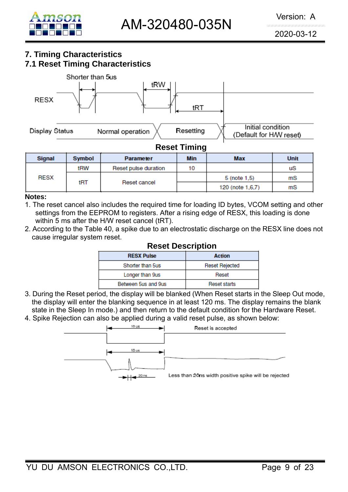

# **7. Timing Characteristics 7.1 Reset Timing Characteristics**



| <b>Signal</b> | <b>Symbol</b> | <b>Parameter</b>     | Min |                  | <b>Unit</b> |
|---------------|---------------|----------------------|-----|------------------|-------------|
| tRW           |               | Reset pulse duration | 10  |                  | uS          |
| <b>RESX</b>   |               |                      |     | 5 (note 1.5)     | mS          |
|               | tRT           | Reset cancel         |     | 120 (note 1,6,7) | mS          |

#### **Notes:**

- 1. The reset cancel also includes the required time for loading ID bytes, VCOM setting and other settings from the EEPROM to registers. After a rising edge of RESX, this loading is done within 5 ms after the H/W reset cancel (tRT).
- 2. According to the Table 40, a spike due to an electrostatic discharge on the RESX line does not cause irregular system reset.

| <b>INGODL PUODI INUUII</b> |                     |  |  |  |  |  |
|----------------------------|---------------------|--|--|--|--|--|
| <b>RESX Pulse</b>          | <b>Action</b>       |  |  |  |  |  |
| Shorter than 5us           | Reset Rejected      |  |  |  |  |  |
| Longer than 9us            | Reset               |  |  |  |  |  |
| Between 5us and 9us        | <b>Reset starts</b> |  |  |  |  |  |
|                            |                     |  |  |  |  |  |

#### **Reset Description**

- 3. During the Reset period, the display will be blanked (When Reset starts in the Sleep Out mode, the display will enter the blanking sequence in at least 120 ms. The display remains the blank state in the Sleep In mode.) and then return to the default condition for the Hardware Reset.
- 4. Spike Rejection can also be applied during a valid reset pulse, as shown below:

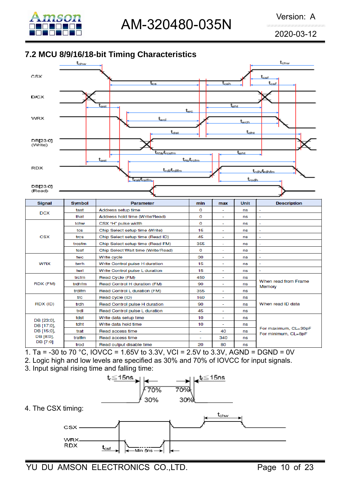

# **7.2 MCU 8/9/16/18-bit Timing Characteristics**



| <b>Signal</b> | <b>Symbol</b> | <b>Parameter</b>                   | min      | max                      | Unit | <b>Description</b>                          |
|---------------|---------------|------------------------------------|----------|--------------------------|------|---------------------------------------------|
|               | tast          | Address setup time                 | 0        | ۰                        | ns   | $\overline{\phantom{a}}$                    |
| <b>DCX</b>    | that          | Address hold time (Write/Read)     | 0        | ÷                        | ns   | $\overline{\phantom{a}}$                    |
|               | tchw          | CSX "H" pulse width                | 0        | ٠                        | ns   | ٠                                           |
|               | tcs           | Chip Select setup time (Write)     | 15       | ٠                        | ns   | ÷                                           |
| <b>CSX</b>    | trcs          | Chip Select setup time (Read ID)   | 45       | ÷                        | ns   | ÷                                           |
|               | trcsfm        | Chip Select setup time (Read FM)   | 355      | ÷                        | ns   |                                             |
|               | tcsf          | Chip Select Wait time (Write/Read) | $\Omega$ | ٠                        | ns   | $\overline{\phantom{a}}$                    |
|               | twc           | Write cycle                        | 30       | ÷                        | ns   | ÷                                           |
| WRX           | twrh          | Write Control pulse H duration     | 15       | ÷                        | ns   | $\sim$                                      |
|               | twrl          | Write Control pulse L duration     | 15       | ÷                        | ns   | $\overline{\phantom{a}}$                    |
|               | trcfm         | Read Cycle (FM)                    | 450      | ÷                        | ns   |                                             |
| RDX (FM)      | trdhfm        | Read Control H duration (FM)       | 90       | ÷                        | ns   | When read from Frame<br>Memory              |
|               | trdlfm        | Read Control L duration (FM)       | 355      | ÷.                       | ns   |                                             |
|               | trc           | Read cycle (ID)                    | 160      | ٠                        | ns   |                                             |
| RDX (ID)      | trdh          | Read Control pulse H duration      | 90       | $\overline{\phantom{a}}$ | ns   | When read ID data                           |
|               | trdl          | Read Control pulse L duration      | 45       | ÷                        | ns   |                                             |
| DB [23:0],    | tdst          | Write data setup time              | 10       | ۰                        | ns   |                                             |
| DB [17:0].    | tdht          | Write data hold time               | 10       | $\overline{\phantom{a}}$ | ns   |                                             |
| DB [15:0],    | trat          | Read access time                   | ÷        | 40                       | ns   | For maximum, CL=30pF<br>For minimum, CL=8pF |
| DB [8:0],     | tratfm        | Read access time                   | ÷        | 340                      | ns   |                                             |
| DB [7:0]      | trod<br>$ -$  | Read output disable time           | 20<br>.  | 80                       | ns   |                                             |

1. Ta = -30 to 70 °C, IOVCC = 1.65V to 3.3V, VCI = 2.5V to 3.3V, AGND = DGND = 0V

2. Logic high and low levels are specified as 30% and 70% of IOVCC for input signals.

3. Input signal rising time and falling time:

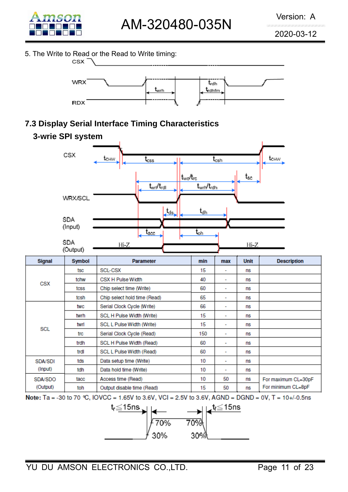

5. The Write to Read or the Read to Write timing: **CSX** 



# **7.3 Display Serial Interface Timing Characteristics**



Note: Ta = -30 to 70 ℃, IOVCC = 1.65V to 3.6V, VCI = 2.5V to 3.6V, AGND = DGND = 0V, T = 10+/-0.5ns

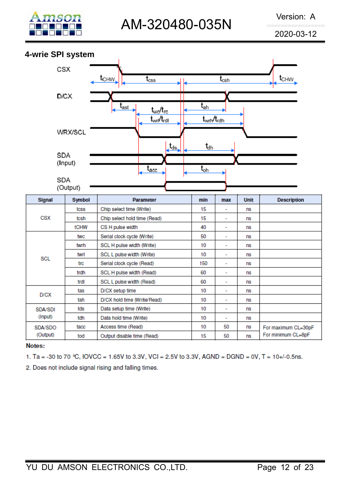

# **4-wrie SPI system**



| Signal     | <b>Symbol</b> | <b>Parameter</b>             | min | max | <b>Unit</b> | <b>Description</b>  |
|------------|---------------|------------------------------|-----|-----|-------------|---------------------|
|            | tcss          | Chip select time (Write)     | 15  | ٠   | ns          |                     |
| <b>CSX</b> | tcsh          | Chip select hold time (Read) | 15  | ٠   | ns          |                     |
|            | tCHW          | CS H pulse width             | 40  | ٠   | ns          |                     |
|            | twc           | Serial clock cycle (Write)   | 50  | ۰   | ns          |                     |
|            | twrh          | SCL H pulse width (Write)    | 10  | ۰   | ns          |                     |
| <b>SCL</b> | twrl          | SCL L pulse width (Write)    | 10  | ۰   | ns          |                     |
|            | trc           | Serial clock cycle (Read)    | 150 | ٠   | ns          |                     |
|            | trdh          | SCL H pulse width (Read)     | 60  | ٠   | ns          |                     |
|            | trdl          | SCL L pulse width (Read)     | 60  | ٠   | ns          |                     |
| D/CX       | tas           | D/CX setup time              | 10  | ۰   | ns          |                     |
|            | tah           | D/CX hold time (Write/Read)  | 10  | ٠   | ns          |                     |
| SDA/SDI    | tds           | Data setup time (Write)      | 10  | ٠   | ns          |                     |
| (Input)    | tdh           | Data hold time (Write)       | 10  | ٠   | ns          |                     |
| SDA/SDO    | tacc          | Access time (Read)           | 10  | 50  | ns          | For maximum CL=30pF |
| (Output)   | tod           | Output disable time (Read)   | 15  | 50  | ns          | For minimum CL=8pF  |

#### Notes:

1. Ta = -30 to 70 °C, IOVCC = 1.65V to 3.3V, VCI = 2.5V to 3.3V, AGND = DGND = 0V, T = 10+/-0.5ns.

2. Does not include signal rising and falling times.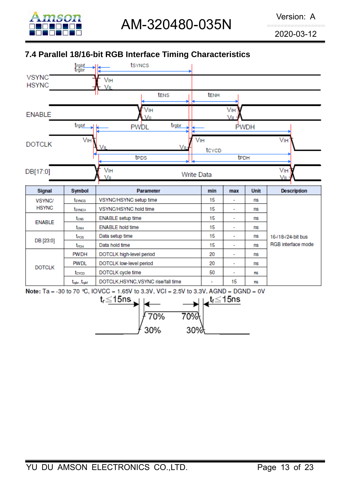

# **7.4 Parallel 18/16-bit RGB Interface Timing Characteristics**



70%

30%

70%

30%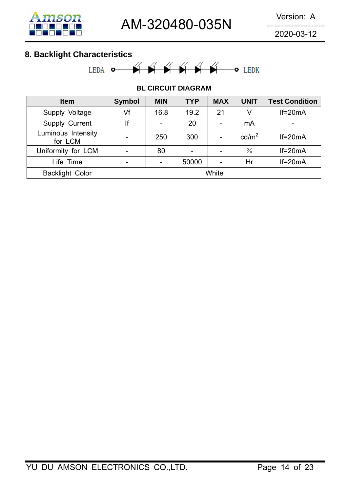

# **8. Backlight Characteristics**



#### **BL CIRCUIT DIAGRAM**

| <b>Item</b>                   | <b>Symbol</b> | <b>MIN</b> | <b>TYP</b> | <b>MAX</b>               | <b>UNIT</b>       | <b>Test Condition</b>    |
|-------------------------------|---------------|------------|------------|--------------------------|-------------------|--------------------------|
| Supply Voltage                | Vf            | 16.8       | 19.2       | 21                       | V                 | $If=20mA$                |
| Supply Current                | lf            |            | 20         | $\overline{\phantom{0}}$ | mA                | $\overline{\phantom{0}}$ |
| Luminous Intensity<br>for LCM |               | 250        | 300        |                          | cd/m <sup>2</sup> | $If=20mA$                |
| Uniformity for LCM            |               | 80         |            |                          | $\frac{0}{0}$     | $If=20mA$                |
| Life Time                     | -             |            | 50000      |                          | Hr                | $If=20mA$                |
| <b>Backlight Color</b>        |               |            |            | White                    |                   |                          |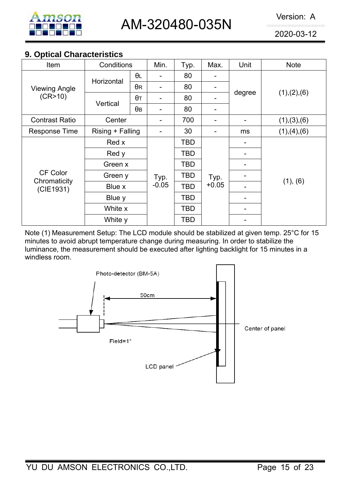

# **9. Optical Characteristics**

| Item                      | Conditions                             |            | Min.    | Typ. | Max.    | Unit   | <b>Note</b>   |  |
|---------------------------|----------------------------------------|------------|---------|------|---------|--------|---------------|--|
|                           |                                        | θL         |         | 80   |         |        |               |  |
| <b>Viewing Angle</b>      | Horizontal                             | $\theta$ R |         | 80   |         |        | (1), (2), (6) |  |
| (CR>10)                   |                                        | $\theta$ T |         | 80   |         | degree |               |  |
|                           | Vertical                               | $\theta$ B |         | 80   | -       |        |               |  |
| <b>Contrast Ratio</b>     | Center                                 |            |         | 700  |         |        | (1), (3), (6) |  |
| <b>Response Time</b>      | Rising + Falling                       |            |         | 30   | -       | ms     | (1), (4), (6) |  |
|                           | Red x                                  |            |         | TBD  |         |        |               |  |
|                           | Red y                                  |            |         | TBD  |         |        |               |  |
|                           | Green x                                |            |         | TBD  |         |        |               |  |
| <b>CF Color</b>           | Green y                                |            | Typ.    | TBD  | Typ.    |        |               |  |
| Chromaticity<br>(CIE1931) | Blue x<br>Blue y<br>White x<br>White y |            | $-0.05$ | TBD  | $+0.05$ |        | (1), (6)      |  |
|                           |                                        |            |         | TBD  |         |        |               |  |
|                           |                                        |            |         | TBD  |         |        |               |  |
|                           |                                        |            |         | TBD  |         |        |               |  |

Note (1) Measurement Setup: The LCD module should be stabilized at given temp. 25°C for 15 minutes to avoid abrupt temperature change during measuring. In order to stabilize the luminance, the measurement should be executed after lighting backlight for 15 minutes in a windless room.

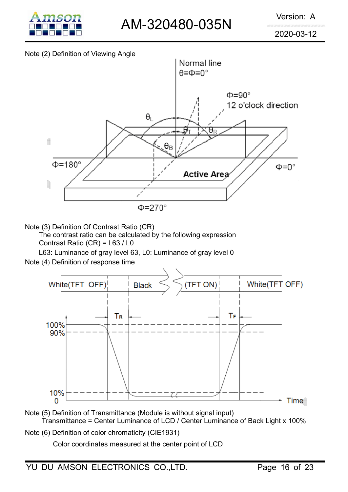

#### Note (2) Definition of Viewing Angle



Note (3) Definition Of Contrast Ratio (CR)

The contrast ratio can be calculated by the following expression Contrast Ratio (CR) = L63 / L0

L63: Luminance of gray level 63, L0: Luminance of gray level 0

Note (4) Definition of response time



Note (5) Definition of Transmittance (Module is without signal input) Transmittance = Center Luminance of LCD / Center Luminance of Back Light x 100%

Note (6) Definition of color chromaticity (CIE1931)

Color coordinates measured at the center point of LCD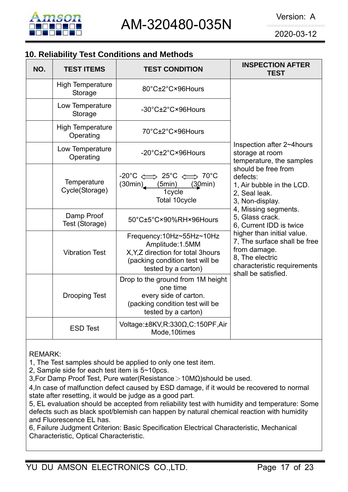

# **10. Reliability Test Conditions and Methods**

| NO. | <b>TEST ITEMS</b>                    | <b>TEST CONDITION</b>                                                                                                                                   | <b>INSPECTION AFTER</b><br><b>TEST</b>                                                                                                              |
|-----|--------------------------------------|---------------------------------------------------------------------------------------------------------------------------------------------------------|-----------------------------------------------------------------------------------------------------------------------------------------------------|
|     | <b>High Temperature</b><br>Storage   | 80°C±2°C×96Hours                                                                                                                                        |                                                                                                                                                     |
|     | Low Temperature<br>Storage           | -30°C±2°C×96Hours                                                                                                                                       |                                                                                                                                                     |
|     | <b>High Temperature</b><br>Operating | 70°C±2°C×96Hours                                                                                                                                        |                                                                                                                                                     |
|     | Low Temperature<br>Operating         | -20°C±2°C×96Hours                                                                                                                                       | Inspection after 2~4 hours<br>storage at room<br>temperature, the samples                                                                           |
|     | Temperature<br>Cycle(Storage)        | $-20^{\circ}$ C $\Longleftrightarrow$ 25 $^{\circ}$ C $\Longleftrightarrow$ 70 $^{\circ}$ C<br>$(30min)$ $(5min)$<br>(30min)<br>1cycle<br>Total 10cycle | should be free from<br>defects:<br>1, Air bubble in the LCD.<br>2, Seal leak.<br>3, Non-display.                                                    |
|     | Damp Proof<br>Test (Storage)         | 50°C±5°C×90%RH×96Hours                                                                                                                                  | 4, Missing segments.<br>5, Glass crack.<br>6, Current IDD is twice                                                                                  |
|     | <b>Vibration Test</b>                | Frequency:10Hz~55Hz~10Hz<br>Amplitude: 1.5MM<br>X, Y, Z direction for total 3hours<br>(packing condition test will be<br>tested by a carton)            | higher than initial value.<br>7, The surface shall be free<br>from damage.<br>8, The electric<br>characteristic requirements<br>shall be satisfied. |
|     | <b>Drooping Test</b>                 | Drop to the ground from 1M height<br>one time<br>every side of carton.<br>(packing condition test will be<br>tested by a carton)                        |                                                                                                                                                     |
|     | <b>ESD Test</b>                      | Voltage:±8KV, R:330Ω, C:150PF, Air<br>Mode, 10times                                                                                                     |                                                                                                                                                     |

REMARK:

1, The Test samples should be applied to only one test item.

2, Sample side for each test item is 5~10pcs.

3,For Damp Proof Test, Pure water(Resistance>10MΩ)should be used.

4,In case of malfunction defect caused by ESD damage, if it would be recovered to normal state after resetting, it would be judge as a good part.

5, EL evaluation should be accepted from reliability test with humidity and temperature: Some defects such as black spot/blemish can happen by natural chemical reaction with humidity and Fluorescence EL has.

6, Failure Judgment Criterion: Basic Specification Electrical Characteristic, Mechanical Characteristic, Optical Characteristic.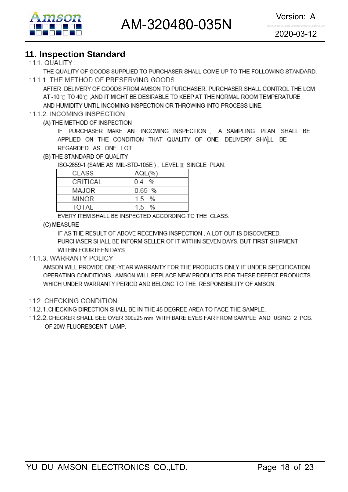

# **11. Inspection Standard**

#### 111 QUALITY  $\cdot$

THE QUALITY OF GOODS SUPPLIED TO PURCHASER SHALL COME UP TO THE FOLLOWING STANDARD. 11.1.1. THE METHOD OF PRESERVING GOODS

AFTER DELIVERY OF GOODS FROM AMSON TO PURCHASER, PURCHASER SHALL CONTROL THE LCM AT -10 °C TO 40 °C .AND IT MIGHT BE DESIRABLE TO KEEP AT THE NORMAL ROOM TEMPERATURE AND HUMIDITY UNTIL INCOMING INSPECTION OR THROWING INTO PROCESS LINE.

#### 11.1.2. INCOMING INSPECTION

(A) THE METHOD OF INSPECTION

IF PURCHASER MAKE AN INCOMING INSPECTION, A SAMPLING PLAN SHALL BE APPLIED ON THE CONDITION THAT QUALITY OF ONE DELIVERY SHALL BE REGARDED AS ONE LOT.

(B) THE STANDARD OF QUALITY

ISO-2859-1 (SAME AS MIL-STD-105E), LEVEL II SINGLE PLAN.

| AQL(%    |
|----------|
| 04 %     |
| $0.65$ % |
| 15 %     |
| $1.5\%$  |
|          |

EVERY ITEM SHALL BE INSPECTED ACCORDING TO THE CLASS.

(C) MEASURE

IF AS THE RESULT OF ABOVE RECEIVING INSPECTION, A LOT OUT IS DISCOVERED. PURCHASER SHALL BE INFORM SELLER OF IT WITHIN SEVEN DAYS. BUT FIRST SHIPMENT WITHIN FOURTEEN DAYS.

#### 11.1.3. WARRANTY POLICY

AMSON WILL PROVIDE ONE-YEAR WARRANTY FOR THE PRODUCTS ONLY IF UNDER SPECIFICATION OPERATING CONDITIONS. AMSON WILL REPLACE NEW PRODUCTS FOR THESE DEFECT PRODUCTS WHICH UNDER WARRANTY PERIOD AND BELONG TO THE RESPONSIBILITY OF AMSON.

- 11.2. CHECKING CONDITION
- 11.2.1. CHECKING DIRECTION SHALL BE IN THE 45 DEGREE AREA TO FACE THE SAMPLE.
- 11.2.2. CHECKER SHALL SEE OVER 300±25 mm. WITH BARE EYES FAR FROM SAMPLE AND USING 2 PCS. OF 20W FLUORESCENT LAMP.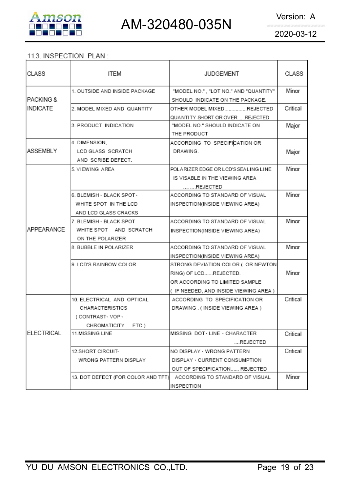

# 11.3. INSPECTION PLAN:

| CLASS             | <b>ITEM</b>                        | <b>JUDGEMENT</b>                      | CLASS    |
|-------------------|------------------------------------|---------------------------------------|----------|
|                   | 1. OUTSIDE AND INSIDE PACKAGE      | "MODEL NO.", "LOT NO." AND "QUANTITY" | Minor    |
| IPACKING &        |                                    | SHOULD INDICATE ON THE PACKAGE.       |          |
| INDICATE          | 2. MODEL MIXED AND QUANTITY        | OTHER MODEL MIXEDREJECTED             | Critical |
|                   |                                    | QUANTITY SHORT OR OVERREJECTED        |          |
|                   | 3. PRODUCT INDICATION              | "MODEL NO." SHOULD INDICATE ON        | Major    |
|                   |                                    | THE PRODUCT                           |          |
|                   | 4. DIMENSION,                      | ACCORDING TO SPECIFICATION OR         |          |
| <b>ASSEMBLY</b>   | LCD GLASS SCRATCH                  | DRAWING.                              | Major    |
|                   | AND SCRIBE DEFECT.                 |                                       |          |
|                   | 5. VIEWING AREA                    | POLARIZER EDGE OR LCD'S SEALING LINE  | Minor    |
|                   |                                    | IS VISABLE IN THE VIEWING AREA        |          |
|                   |                                    | REJECTED                              |          |
|                   | 6. BLEMISH - BLACK SPOT -          | ACCORDING TO STANDARD OF VISUAL       | Minor    |
|                   | WHITE SPOT IN THE LCD              | INSPECTION(INSIDE VIEWING AREA)       |          |
|                   | AND LCD GLASS CRACKS               |                                       |          |
|                   | 7. BLEMISH - BLACK SPOT            | ACCORDING TO STANDARD OF VISUAL       | Minor    |
| APPEARANCE        | WHITE SPOT AND SCRATCH             | INSPECTION(INSIDE VIEWING AREA)       |          |
|                   | ON THE POLARIZER                   |                                       |          |
|                   | 8. BUBBLE IN POLARIZER             | ACCORDING TO STANDARD OF VISUAL       | Minor    |
|                   |                                    | INSPECTION(INSIDE VIEWING AREA)       |          |
|                   | 9. LCD'S RAINBOW COLOR             | STRONG DEVIATION COLOR ( OR NEWTON)   |          |
|                   |                                    | RING) OF LCDREJECTED.                 | Minor    |
|                   |                                    | OR ACCORDING TO LIMITED SAMPLE        |          |
|                   |                                    | (IF NEEDED, AND INSIDE VIEWING AREA)  |          |
|                   | 10. ELECTRICAL AND OPTICAL         | ACCORDING TO SPECIFICATION OR         | Critical |
|                   | <b>CHARACTERISTICS</b>             | DRAWING. (INSIDE VIEWING AREA)        |          |
|                   | (CONTRAST-VOP-                     |                                       |          |
|                   | CHROMATICITY  ETC )                |                                       |          |
| <b>ELECTRICAL</b> | 11.MISSING LINE                    | IMISSING DOT LINE > CHARACTER.        | Critical |
|                   |                                    | REJECTED                              |          |
|                   | 12.SHORT CIRCUIT <sub>*</sub>      | NO DISPLAY - WRONG PATTERN            | Critical |
|                   | WRONG PATTERN DISPLAY              | DISPLAY · CURRENT CONSUMPTION         |          |
|                   |                                    | OUT OF SPECIFICATION REJECTED         |          |
|                   | 13. DOT DEFECT (FOR COLOR AND TFT) | ACCORDING TO STANDARD OF VISUAL       | Minor    |
|                   |                                    | INSPECTION                            |          |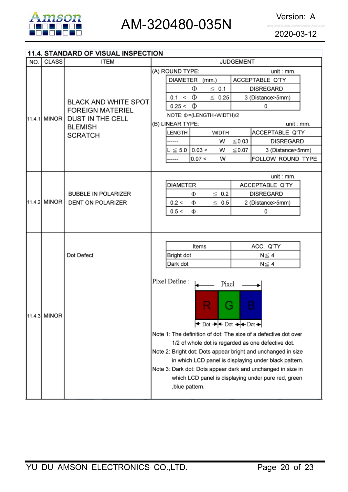

### 11.4. STANDARD OF VISUAL INSPECTION

| NO. | <b>CLASS</b> | <b>ITEM</b>                                            | <b>JUDGEMENT</b>                                                                                                                                                                                                                                                                                                    |  |  |
|-----|--------------|--------------------------------------------------------|---------------------------------------------------------------------------------------------------------------------------------------------------------------------------------------------------------------------------------------------------------------------------------------------------------------------|--|--|
|     |              |                                                        | (A) ROUND TYPE:<br>unit : mm.                                                                                                                                                                                                                                                                                       |  |  |
|     |              |                                                        | <b>DIAMETER</b><br>ACCEPTABLE Q'TY<br>(mm.)                                                                                                                                                                                                                                                                         |  |  |
|     |              | <b>BLACK AND WHITE SPOT</b><br><b>FOREIGN MATERIEL</b> | Φ<br>$\leq$ 0.1<br><b>DISREGARD</b>                                                                                                                                                                                                                                                                                 |  |  |
|     |              |                                                        | Φ<br>$\leq 0.25$<br>0.1 <<br>3 (Distance>5mm)                                                                                                                                                                                                                                                                       |  |  |
|     |              |                                                        | $0.25 < \Phi$<br>0                                                                                                                                                                                                                                                                                                  |  |  |
|     | 11.4.1 MINOR | <b>DUST IN THE CELL</b>                                | NOTE: Φ=(LENGTH+WIDTH)/2                                                                                                                                                                                                                                                                                            |  |  |
|     |              | <b>BLEMISH</b>                                         | (B) LINEAR TYPE:<br>unit : mm.                                                                                                                                                                                                                                                                                      |  |  |
|     |              | <b>SCRATCH</b>                                         | ACCEPTABLE Q'TY<br><b>WIDTH</b><br>LENGTH                                                                                                                                                                                                                                                                           |  |  |
|     |              |                                                        | $\leq$ 0.03<br><b>DISREGARD</b><br>W<br>-----                                                                                                                                                                                                                                                                       |  |  |
|     |              |                                                        | $L \le 5.0$ 0.03 <<br>$\leq$ 0.07<br>W<br>3 (Distance>5mm)                                                                                                                                                                                                                                                          |  |  |
|     |              |                                                        | 0.07 <<br>W<br>FOLLOW ROUND TYPE<br>----                                                                                                                                                                                                                                                                            |  |  |
|     |              |                                                        |                                                                                                                                                                                                                                                                                                                     |  |  |
|     |              |                                                        | unit : mm.                                                                                                                                                                                                                                                                                                          |  |  |
|     |              | <b>BUBBLE IN POLARIZER</b><br><b>DENT ON POLARIZER</b> | <b>DIAMETER</b><br>ACCEPTABLE Q'TY                                                                                                                                                                                                                                                                                  |  |  |
|     | 11.4.2 MINOR |                                                        | $\leq 0.2$<br><b>DISREGARD</b><br>Φ                                                                                                                                                                                                                                                                                 |  |  |
|     |              |                                                        | $\leq 0.5$<br>0.2 <<br>2 (Distance>5mm)<br>Φ                                                                                                                                                                                                                                                                        |  |  |
|     |              |                                                        | 0.5 <<br>Ф<br>0                                                                                                                                                                                                                                                                                                     |  |  |
|     |              |                                                        |                                                                                                                                                                                                                                                                                                                     |  |  |
|     |              |                                                        |                                                                                                                                                                                                                                                                                                                     |  |  |
|     |              | Dot Defect                                             | Items<br>ACC. Q'TY                                                                                                                                                                                                                                                                                                  |  |  |
|     |              |                                                        | Bright dot<br>$N \leq 4$                                                                                                                                                                                                                                                                                            |  |  |
|     |              |                                                        | Dark dot<br>$N \leq 4$                                                                                                                                                                                                                                                                                              |  |  |
|     |              |                                                        |                                                                                                                                                                                                                                                                                                                     |  |  |
|     |              |                                                        | Pixel Define:<br>Pixel                                                                                                                                                                                                                                                                                              |  |  |
|     |              |                                                        |                                                                                                                                                                                                                                                                                                                     |  |  |
|     |              |                                                        |                                                                                                                                                                                                                                                                                                                     |  |  |
|     |              |                                                        | B<br>ä                                                                                                                                                                                                                                                                                                              |  |  |
|     | 11.4.3 MINOR |                                                        | $\leftrightarrow$ Dot $\rightarrow$ Pot $\rightarrow$ Pot $\rightarrow$                                                                                                                                                                                                                                             |  |  |
|     |              |                                                        |                                                                                                                                                                                                                                                                                                                     |  |  |
|     |              |                                                        | Note 1: The definition of dot: The size of a defective dot over                                                                                                                                                                                                                                                     |  |  |
|     |              |                                                        |                                                                                                                                                                                                                                                                                                                     |  |  |
|     |              |                                                        |                                                                                                                                                                                                                                                                                                                     |  |  |
|     |              |                                                        |                                                                                                                                                                                                                                                                                                                     |  |  |
|     |              |                                                        |                                                                                                                                                                                                                                                                                                                     |  |  |
|     |              |                                                        |                                                                                                                                                                                                                                                                                                                     |  |  |
|     |              |                                                        |                                                                                                                                                                                                                                                                                                                     |  |  |
|     |              |                                                        | 1/2 of whole dot is regarded as one defective dot.<br>Note 2: Bright dot: Dots appear bright and unchanged in size<br>in which LCD panel is displaying under black pattern.<br>Note 3: Dark dot: Dots appear dark and unchanged in size in<br>which LCD panel is displaying under pure red, green<br>,blue pattern. |  |  |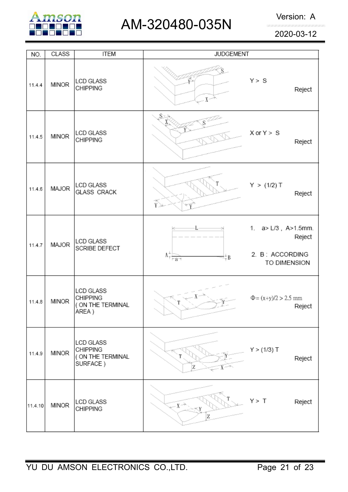

# AM-320480-035N Version: A

2020-03-12

| NO.     | CLASS        | <b>ITEM</b>                                                          | <b>JUDGEMENT</b>                              |                                                                           |
|---------|--------------|----------------------------------------------------------------------|-----------------------------------------------|---------------------------------------------------------------------------|
| 11.4.4  | <b>MINOR</b> | <b>LCD GLASS</b><br><b>CHIPPING</b>                                  | x→                                            | Y > S<br>Reject                                                           |
| 11.4.5  | <b>MINOR</b> | LCD GLASS<br><b>CHIPPING</b>                                         | S×                                            | $X$ or $Y > S$<br>Reject                                                  |
| 11.4.6  | MAJOR        | LCD GLASS<br><b>GLASS CRACK</b>                                      | Ŷ                                             | Y > (1/2) T<br>Reject                                                     |
| 11.4.7  | MAJOR        | <b>LCD GLASS</b><br>SCRIBE DEFECT                                    | $V_{\frac{\gamma}{\alpha}+\beta\alpha}$<br>₩B | 1. $a > L/3$ , $A > 1.5$ mm.<br>Reject<br>2. B: ACCORDING<br>TO DIMENSION |
| 11.4.8  | <b>MINOR</b> | <b>LCD GLASS</b><br><b>CHIPPING</b><br>( ON THE TERMINAL<br>AREA)    |                                               | $\Phi = (x+y)/2 > 2.5$ mm<br>Reject                                       |
| 11.4.9  | <b>MINOR</b> | <b>LCD GLASS</b><br><b>CHIPPING</b><br>( ON THE TERMINAL<br>SURFACE) | Z                                             | Y > (1/3) T<br>Reject                                                     |
| 11.4.10 | <b>MINOR</b> | LCD GLASS<br><b>CHIPPING</b>                                         | $x \rightarrow$<br>Z                          | Y > T<br>Reject                                                           |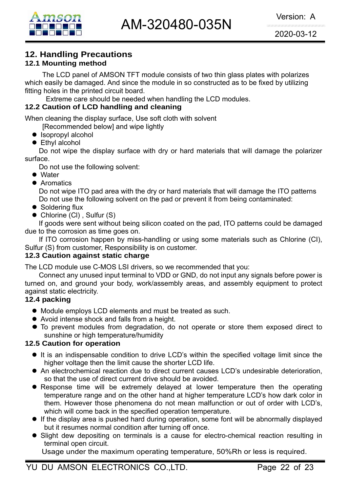# **12. Handling Precautions**

# **12.1 Mounting method**

The LCD panel of AMSON TFT module consists of two thin glass plates with polarizes which easily be damaged. And since the module in so constructed as to be fixed by utilizing fitting holes in the printed circuit board.

Extreme care should be needed when handling the LCD modules.

### **12.2 Caution of LCD handling and cleaning**

When cleaning the display surface, Use soft cloth with solvent

[Recommended below] and wipe lightly

- $\bullet$  Isopropyl alcohol
- $\bullet$  Ethyl alcohol

 Do not wipe the display surface with dry or hard materials that will damage the polarizer surface.

Do not use the following solvent:

- $\bullet$  Water
- **Aromatics**

 Do not wipe ITO pad area with the dry or hard materials that will damage the ITO patterns Do not use the following solvent on the pad or prevent it from being contaminated:

- $\bullet$  Soldering flux
- $\bullet$  Chlorine (CI), Sulfur (S)

If goods were sent without being silicon coated on the pad, ITO patterns could be damaged due to the corrosion as time goes on.

If ITO corrosion happen by miss-handling or using some materials such as Chlorine (CI), Sulfur (S) from customer, Responsibility is on customer.

### **12.3 Caution against static charge**

The LCD module use C-MOS LSI drivers, so we recommended that you:

Connect any unused input terminal to VDD or GND, do not input any signals before power is turned on, and ground your body, work/assembly areas, and assembly equipment to protect against static electricity.

### **12.4 packing**

- Module employs LCD elements and must be treated as such.
- Avoid intense shock and falls from a height.
- $\bullet$  To prevent modules from degradation, do not operate or store them exposed direct to sunshine or high temperature/humidity

### **12.5 Caution for operation**

- It is an indispensable condition to drive LCD's within the specified voltage limit since the higher voltage then the limit cause the shorter LCD life.
- An electrochemical reaction due to direct current causes LCD's undesirable deterioration, so that the use of direct current drive should be avoided.
- Response time will be extremely delayed at lower temperature then the operating temperature range and on the other hand at higher temperature LCD's how dark color in them. However those phenomena do not mean malfunction or out of order with LCD's, which will come back in the specified operation temperature.
- If the display area is pushed hard during operation, some font will be abnormally displayed but it resumes normal condition after turning off once.
- Slight dew depositing on terminals is a cause for electro-chemical reaction resulting in terminal open circuit.

Usage under the maximum operating temperature, 50%Rh or less is required.